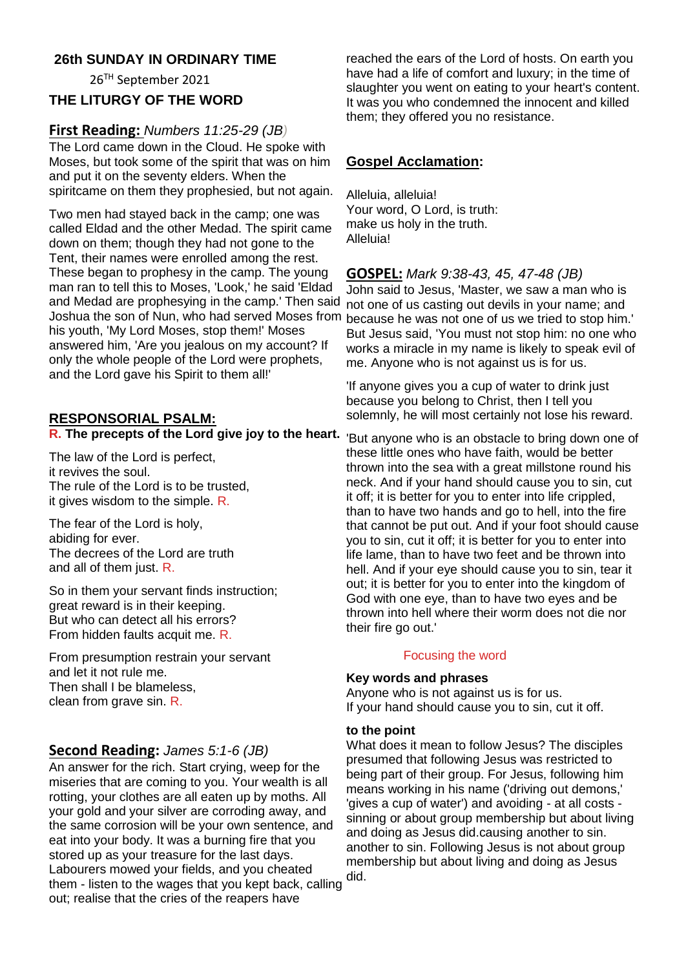## **26th SUNDAY IN ORDINARY TIME**

26TH September 2021

## **THE LITURGY OF THE WORD**

## **First Reading:** *Numbers 11:25-29 (JB)*

The Lord came down in the Cloud. He spoke with Moses, but took some of the spirit that was on him and put it on the seventy elders. When the spiritcame on them they prophesied, but not again.

Two men had stayed back in the camp; one was called Eldad and the other Medad. The spirit came down on them; though they had not gone to the Tent, their names were enrolled among the rest. These began to prophesy in the camp. The young man ran to tell this to Moses, 'Look,' he said 'Eldad and Medad are prophesying in the camp.' Then said Joshua the son of Nun, who had served Moses from his youth, 'My Lord Moses, stop them!' Moses answered him, 'Are you jealous on my account? If only the whole people of the Lord were prophets, and the Lord gave his Spirit to them all!'

## **RESPONSORIAL PSALM:**

## **R. The precepts of the Lord give joy to the heart.**

The law of the Lord is perfect, it revives the soul. The rule of the Lord is to be trusted, it gives wisdom to the simple. R.

The fear of the Lord is holy, abiding for ever. The decrees of the Lord are truth and all of them just. R.

So in them your servant finds instruction; great reward is in their keeping. But who can detect all his errors? From hidden faults acquit me. R.

From presumption restrain your servant and let it not rule me. Then shall I be blameless, clean from grave sin. R.

## **Second Reading:** *James 5:1-6 (JB)*

An answer for the rich. Start crying, weep for the miseries that are coming to you. Your wealth is all rotting, your clothes are all eaten up by moths. All your gold and your silver are corroding away, and the same corrosion will be your own sentence, and eat into your body. It was a burning fire that you stored up as your treasure for the last days. Labourers mowed your fields, and you cheated them - listen to the wages that you kept back, calling out; realise that the cries of the reapers have

reached the ears of the Lord of hosts. On earth you have had a life of comfort and luxury; in the time of slaughter you went on eating to your heart's content. It was you who condemned the innocent and killed them; they offered you no resistance.

## **Gospel Acclamation:**

Alleluia, alleluia! Your word, O Lord, is truth: make us holy in the truth. Alleluia!

## **GOSPEL:** *Mark 9:38-43, 45, 47-48 (JB)*

John said to Jesus, 'Master, we saw a man who is not one of us casting out devils in your name; and because he was not one of us we tried to stop him.' But Jesus said, 'You must not stop him: no one who works a miracle in my name is likely to speak evil of me. Anyone who is not against us is for us.

'If anyone gives you a cup of water to drink just because you belong to Christ, then I tell you solemnly, he will most certainly not lose his reward.

'But anyone who is an obstacle to bring down one of these little ones who have faith, would be better thrown into the sea with a great millstone round his neck. And if your hand should cause you to sin, cut it off; it is better for you to enter into life crippled, than to have two hands and go to hell, into the fire that cannot be put out. And if your foot should cause you to sin, cut it off; it is better for you to enter into life lame, than to have two feet and be thrown into hell. And if your eye should cause you to sin, tear it out; it is better for you to enter into the kingdom of God with one eye, than to have two eyes and be thrown into hell where their worm does not die nor their fire go out.'

## Focusing the word

#### **Key words and phrases**

Anyone who is not against us is for us. If your hand should cause you to sin, cut it off.

#### **to the point**

What does it mean to follow Jesus? The disciples presumed that following Jesus was restricted to being part of their group. For Jesus, following him means working in his name ('driving out demons,' 'gives a cup of water') and avoiding - at all costs sinning or about group membership but about living and doing as Jesus did.causing another to sin. another to sin. Following Jesus is not about group membership but about living and doing as Jesus did.